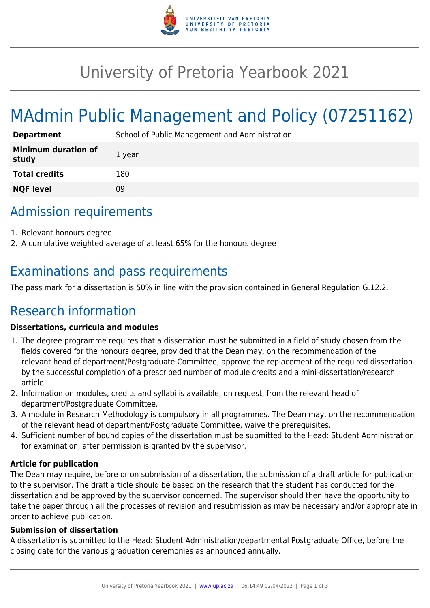

## University of Pretoria Yearbook 2021

# MAdmin Public Management and Policy (07251162)

| <b>Department</b>                   | School of Public Management and Administration |
|-------------------------------------|------------------------------------------------|
| <b>Minimum duration of</b><br>study | 1 year                                         |
| <b>Total credits</b>                | 180                                            |
| <b>NQF level</b>                    | 09                                             |

### Admission requirements

- 1. Relevant honours degree
- 2. A cumulative weighted average of at least 65% for the honours degree

### Examinations and pass requirements

The pass mark for a dissertation is 50% in line with the provision contained in General Regulation G.12.2.

## Research information

#### **Dissertations, curricula and modules**

- 1. The degree programme requires that a dissertation must be submitted in a field of study chosen from the fields covered for the honours degree, provided that the Dean may, on the recommendation of the relevant head of department/Postgraduate Committee, approve the replacement of the required dissertation by the successful completion of a prescribed number of module credits and a mini-dissertation/research article.
- 2. Information on modules, credits and syllabi is available, on request, from the relevant head of department/Postgraduate Committee.
- 3. A module in Research Methodology is compulsory in all programmes. The Dean may, on the recommendation of the relevant head of department/Postgraduate Committee, waive the prerequisites.
- 4. Sufficient number of bound copies of the dissertation must be submitted to the Head: Student Administration for examination, after permission is granted by the supervisor.

#### **Article for publication**

The Dean may require, before or on submission of a dissertation, the submission of a draft article for publication to the supervisor. The draft article should be based on the research that the student has conducted for the dissertation and be approved by the supervisor concerned. The supervisor should then have the opportunity to take the paper through all the processes of revision and resubmission as may be necessary and/or appropriate in order to achieve publication.

#### **Submission of dissertation**

A dissertation is submitted to the Head: Student Administration/departmental Postgraduate Office, before the closing date for the various graduation ceremonies as announced annually.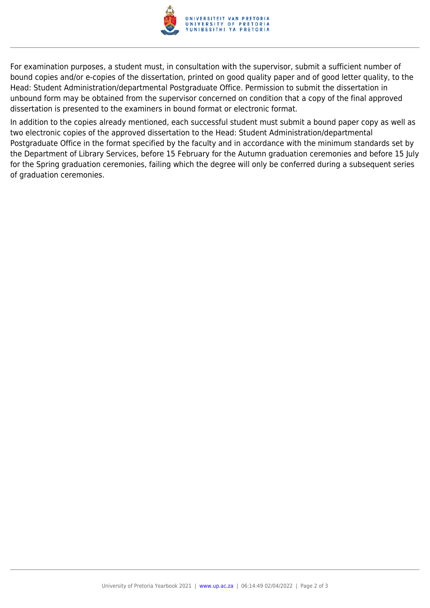

For examination purposes, a student must, in consultation with the supervisor, submit a sufficient number of bound copies and/or e-copies of the dissertation, printed on good quality paper and of good letter quality, to the Head: Student Administration/departmental Postgraduate Office. Permission to submit the dissertation in unbound form may be obtained from the supervisor concerned on condition that a copy of the final approved dissertation is presented to the examiners in bound format or electronic format.

In addition to the copies already mentioned, each successful student must submit a bound paper copy as well as two electronic copies of the approved dissertation to the Head: Student Administration/departmental Postgraduate Office in the format specified by the faculty and in accordance with the minimum standards set by the Department of Library Services, before 15 February for the Autumn graduation ceremonies and before 15 July for the Spring graduation ceremonies, failing which the degree will only be conferred during a subsequent series of graduation ceremonies.